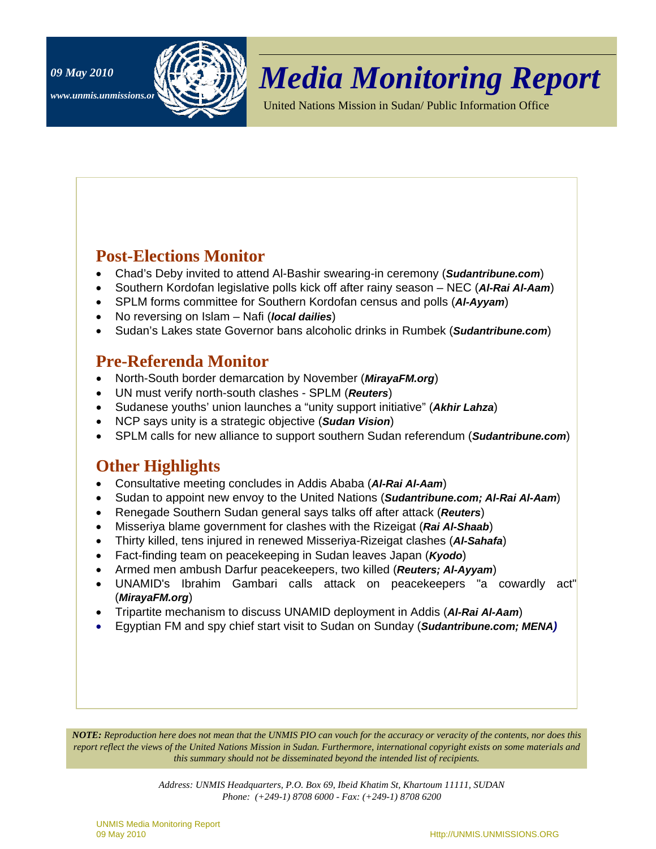



# *Media Monitoring Report 09 May 2010*

United Nations Mission in Sudan/ Public Information Office

## **Post-Elections Monitor**

- Chad's Deby invited to attend Al-Bashir swearing-in ceremony (*Sudantribune.com*)
- Southern Kordofan legislative polls kick off after rainy season NEC (*Al-Rai Al-Aam*)
- SPLM forms committee for Southern Kordofan census and polls (*Al-Ayyam*)
- No reversing on Islam Nafi (*local dailies*)
- Sudan's Lakes state Governor bans alcoholic drinks in Rumbek (*Sudantribune.com*)

## **Pre-Referenda Monitor**

- North-South border demarcation by November (*MirayaFM.org*)
- UN must verify north-south clashes SPLM (*Reuters*)
- Sudanese youths' union launches a "unity support initiative" (*Akhir Lahza*)
- NCP says unity is a strategic objective (*Sudan Vision*)
- SPLM calls for new alliance to support southern Sudan referendum (*Sudantribune.com*)

### **Other Highlights**

- Consultative meeting concludes in Addis Ababa (*Al-Rai Al-Aam*)
- Sudan to appoint new envoy to the United Nations (*Sudantribune.com; Al-Rai Al-Aam*)
- Renegade Southern Sudan general says talks off after attack (*Reuters*)
- Misseriya blame government for clashes with the Rizeigat (*Rai Al-Shaab*)
- Thirty killed, tens injured in renewed Misseriya-Rizeigat clashes (*Al-Sahafa*)
- Fact-finding team on peacekeeping in Sudan leaves Japan (*Kyodo*)
- Armed men ambush Darfur peacekeepers, two killed (*Reuters; Al-Ayyam*)
- UNAMID's Ibrahim Gambari calls attack on peacekeepers "a cowardly act" (*MirayaFM.org*)
- Tripartite mechanism to discuss UNAMID deployment in Addis (*Al-Rai Al-Aam*)
- Egyptian FM and spy chief start visit to Sudan on Sunday (*Sudantribune.com; MENA)*

*NOTE: Reproduction here does not mean that the UNMIS PIO can vouch for the accuracy or veracity of the contents, nor does this report reflect the views of the United Nations Mission in Sudan. Furthermore, international copyright exists on some materials and this summary should not be disseminated beyond the intended list of recipients.* 

> *Address: UNMIS Headquarters, P.O. Box 69, Ibeid Khatim St, Khartoum 11111, SUDAN Phone: (+249-1) 8708 6000 - Fax: (+249-1) 8708 6200*

UNMIS Media Monitoring Report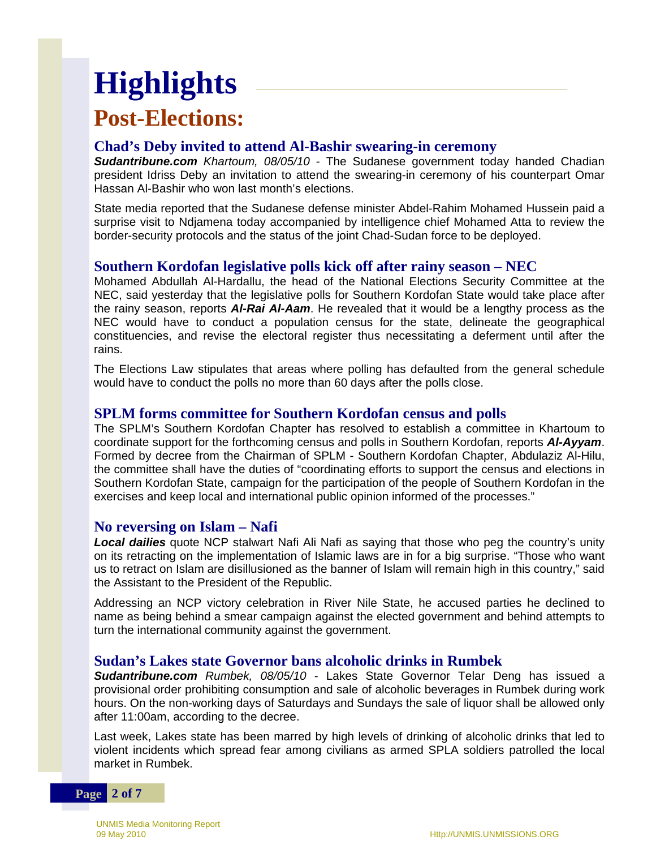# **Post-Elections: Highlights**

## **Chad's Deby invited to attend Al-Bashir swearing-in ceremony**

*Sudantribune.com Khartoum, 08/05/10* - The Sudanese government today handed Chadian president Idriss Deby an invitation to attend the swearing-in ceremony of his counterpart Omar Hassan Al-Bashir who won last month's elections.

State media reported that the Sudanese defense minister Abdel-Rahim Mohamed Hussein paid a surprise visit to Ndjamena today accompanied by intelligence chief Mohamed Atta to review the border-security protocols and the status of the joint Chad-Sudan force to be deployed.

#### **Southern Kordofan legislative polls kick off after rainy season – NEC**

Mohamed Abdullah Al-Hardallu, the head of the National Elections Security Committee at the NEC, said yesterday that the legislative polls for Southern Kordofan State would take place after the rainy season, reports *Al-Rai Al-Aam*. He revealed that it would be a lengthy process as the NEC would have to conduct a population census for the state, delineate the geographical constituencies, and revise the electoral register thus necessitating a deferment until after the rains.

The Elections Law stipulates that areas where polling has defaulted from the general schedule would have to conduct the polls no more than 60 days after the polls close.

#### **SPLM forms committee for Southern Kordofan census and polls**

The SPLM's Southern Kordofan Chapter has resolved to establish a committee in Khartoum to coordinate support for the forthcoming census and polls in Southern Kordofan, reports *Al-Ayyam*. Formed by decree from the Chairman of SPLM - Southern Kordofan Chapter, Abdulaziz Al-Hilu, the committee shall have the duties of "coordinating efforts to support the census and elections in Southern Kordofan State, campaign for the participation of the people of Southern Kordofan in the exercises and keep local and international public opinion informed of the processes."

#### **No reversing on Islam – Nafi**

*Local dailies* quote NCP stalwart Nafi Ali Nafi as saying that those who peg the country's unity on its retracting on the implementation of Islamic laws are in for a big surprise. "Those who want us to retract on Islam are disillusioned as the banner of Islam will remain high in this country," said the Assistant to the President of the Republic.

Addressing an NCP victory celebration in River Nile State, he accused parties he declined to name as being behind a smear campaign against the elected government and behind attempts to turn the international community against the government.

#### **Sudan's Lakes state Governor bans alcoholic drinks in Rumbek**

*Sudantribune.com Rumbek, 08/05/10* - Lakes State Governor Telar Deng has issued a provisional order prohibiting consumption and sale of alcoholic beverages in Rumbek during work hours. On the non-working days of Saturdays and Sundays the sale of liquor shall be allowed only after 11:00am, according to the decree.

Last week, Lakes state has been marred by high levels of drinking of alcoholic drinks that led to violent incidents which spread fear among civilians as armed SPLA soldiers patrolled the local market in Rumbek.

#### **Page 2 of 7**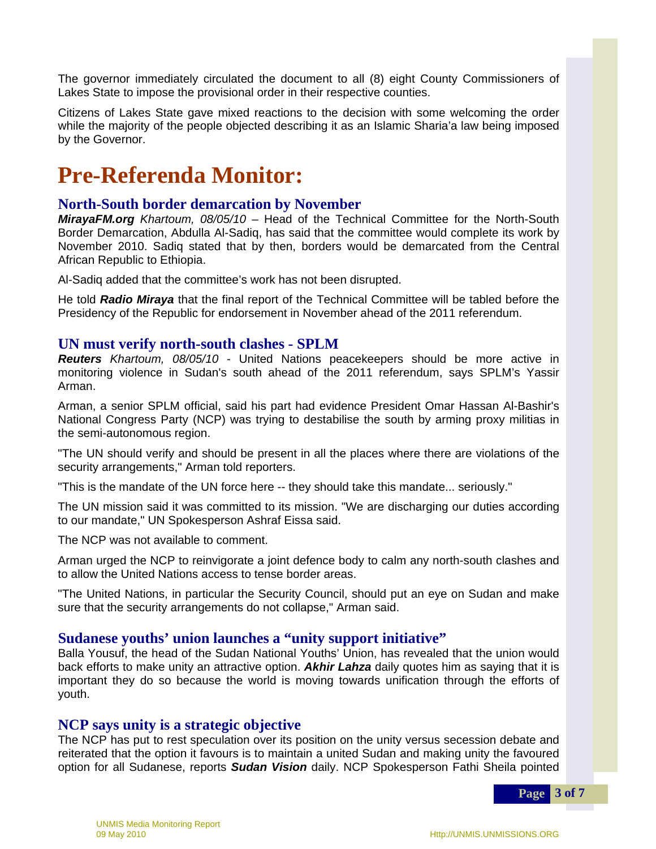The governor immediately circulated the document to all (8) eight County Commissioners of Lakes State to impose the provisional order in their respective counties.

Citizens of Lakes State gave mixed reactions to the decision with some welcoming the order while the majority of the people objected describing it as an Islamic Sharia'a law being imposed while the majority<br>by the Governor.

# **Pre-Referenda Monitor:**

#### **North-South border demarcation by November**

*MirayaFM.org Khartoum, 08/05/10* – Head of the Technical Committee for the North-South  Border Demarcation, Abdulla Al-Sadiq, has said that the committee would complete its work by November 2010. Sadiq stated that by then, borders would be demarcated from the Central African Republic to Ethiopia.

Al-Sadiq added that the committee's work has not been disrupted.

He told *Radio Miraya* that the final report of the Technical Committee will be tabled before the Presidency of the Republic for endorsement in November ahead of the 2011 referendum.

## **UN must verify north-south clashes - SPLM**

*Reuters Khartoum, 08/05/10* - United Nations peacekeepers should be more active in monitoring violence in Sudan's south ahead of the 2011 referendum, says SPLM's Yassir Arman.

Arman, a senior SPLM official, said his part had evidence President Omar Hassan Al-Bashir's National Congress Party (NCP) was trying to destabilise the south by arming proxy militias in the semi-autonomous region.

"The UN should verify and should be present in all the places where there are violations of the security arrangements," Arman told reporters.

"This is the mandate of the UN force here -- they should take this mandate... seriously."

The UN mission said it was committed to its mission. "We are discharging our duties according to our mandate," UN Spokesperson Ashraf Eissa said.

The NCP was not available to comment.

Arman urged the NCP to reinvigorate a joint defence body to calm any north-south clashes and to allow the United Nations access to tense border areas.

"The United Nations, in particular the Security Council, should put an eye on Sudan and make sure that the security arrangements do not collapse," Arman said.

#### **Sudanese youths' union launches a "unity support initiative"**

Balla Yousuf, the head of the Sudan National Youths' Union, has revealed that the union would back efforts to make unity an attractive option. *Akhir Lahza* daily quotes him as saying that it is important they do so because the world is moving towards unification through the efforts of youth.

#### **NCP says unity is a strategic objective**

The NCP has put to rest speculation over its position on the unity versus secession debate and reiterated that the option it favours is to maintain a united Sudan and making unity the favoured option for all Sudanese, reports *Sudan Vision* daily. NCP Spokesperson Fathi Sheila pointed

**Page 3 of 7**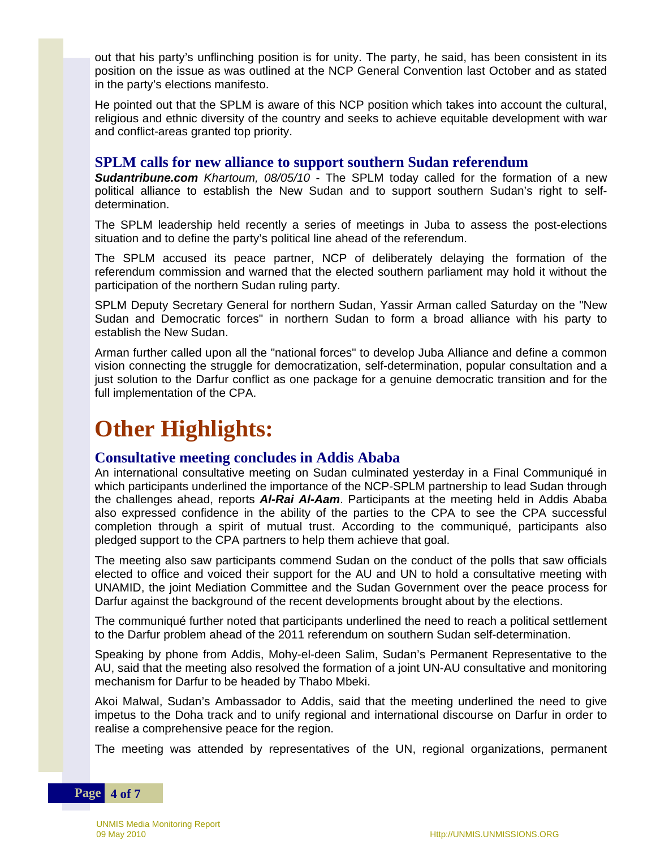out that his party's unflinching position is for unity. The party, he said, has been consistent in its position on the issue as was outlined at the NCP General Convention last October and as stated in the party's elections manifesto.

He pointed out that the SPLM is aware of this NCP position which takes into account the cultural, religious and ethnic diversity of the country and seeks to achieve equitable development with war and conflict-areas granted top priority.

#### **SPLM calls for new alliance to support southern Sudan referendum**

*Sudantribune.com Khartoum, 08/05/10* - The SPLM today called for the formation of a new  political alliance to establish the New Sudan and to support southern Sudan's right to selfdetermination.

The SPLM leadership held recently a series of meetings in Juba to assess the post-elections situation and to define the party's political line ahead of the referendum.

The SPLM accused its peace partner, NCP of deliberately delaying the formation of the referendum commission and warned that the elected southern parliament may hold it without the participation of the northern Sudan ruling party.

SPLM Deputy Secretary General for northern Sudan, Yassir Arman called Saturday on the "New Sudan and Democratic forces" in northern Sudan to form a broad alliance with his party to establish the New Sudan.

Arman further called upon all the "national forces" to develop Juba Alliance and define a common vision connecting the struggle for democratization, self-determination, popular consultation and a just solution to the Darfur conflict as one package for a genuine democratic transition and for the full implementation of the CPA.

## **Other Highlights:**

#### **Consultative meeting concludes in Addis Ababa**

An international consultative meeting on Sudan culminated yesterday in a Final Communiqué in which participants underlined the importance of the NCP-SPLM partnership to lead Sudan through the challenges ahead, reports *Al-Rai Al-Aam*. Participants at the meeting held in Addis Ababa also expressed confidence in the ability of the parties to the CPA to see the CPA successful completion through a spirit of mutual trust. According to the communiqué, participants also pledged support to the CPA partners to help them achieve that goal.

The meeting also saw participants commend Sudan on the conduct of the polls that saw officials elected to office and voiced their support for the AU and UN to hold a consultative meeting with UNAMID, the joint Mediation Committee and the Sudan Government over the peace process for Darfur against the background of the recent developments brought about by the elections.

The communiqué further noted that participants underlined the need to reach a political settlement to the Darfur problem ahead of the 2011 referendum on southern Sudan self-determination.

Speaking by phone from Addis, Mohy-el-deen Salim, Sudan's Permanent Representative to the AU, said that the meeting also resolved the formation of a joint UN-AU consultative and monitoring mechanism for Darfur to be headed by Thabo Mbeki.

Akoi Malwal, Sudan's Ambassador to Addis, said that the meeting underlined the need to give impetus to the Doha track and to unify regional and international discourse on Darfur in order to realise a comprehensive peace for the region.

The meeting was attended by representatives of the UN, regional organizations, permanent

#### **Page 4 of 7**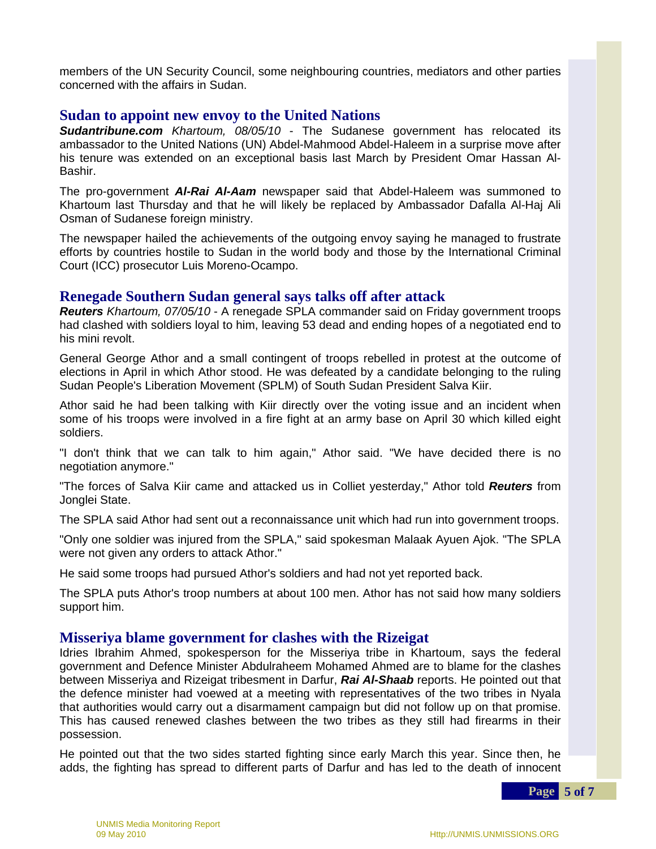members of the UN Security Council, some neighbouring countries, mediators and other parties concerned with the affairs in Sudan.

#### **Sudan to appoint new envoy to the United Nations**

*Sudantribune.com Khartoum, 08/05/10* - The Sudanese government has relocated its ambassador to the United Nations (UN) Abdel-Mahmood Abdel-Haleem in a surprise move after his tenure was extended on an exceptional basis last March by President Omar Hassan Al-Bashir.

The pro-government *Al-Rai Al-Aam* newspaper said that Abdel-Haleem was summoned to Khartoum last Thursday and that he will likely be replaced by Ambassador Dafalla Al-Haj Ali Osman of Sudanese foreign ministry.

The newspaper hailed the achievements of the outgoing envoy saying he managed to frustrate efforts by countries hostile to Sudan in the world body and those by the International Criminal Court (ICC) prosecutor Luis Moreno-Ocampo.

#### **Renegade Southern Sudan general says talks off after attack**

*Reuters Khartoum, 07/05/10* - A renegade SPLA commander said on Friday government troops had clashed with soldiers loyal to him, leaving 53 dead and ending hopes of a negotiated end to his mini revolt.

General George Athor and a small contingent of troops rebelled in protest at the outcome of elections in April in which Athor stood. He was defeated by a candidate belonging to the ruling Sudan People's Liberation Movement (SPLM) of South Sudan President Salva Kiir.

Athor said he had been talking with Kiir directly over the voting issue and an incident when some of his troops were involved in a fire fight at an army base on April 30 which killed eight soldiers.

"I don't think that we can talk to him again," Athor said. "We have decided there is no negotiation anymore."

 Jonglei State. "The forces of Salva Kiir came and attacked us in Colliet yesterday," Athor told *Reuters* from

The SPLA said Athor had sent out a reconnaissance unit which had run into government troops.

"Only one soldier was injured from the SPLA," said spokesman Malaak Ayuen Ajok. "The SPLA were not given any orders to attack Athor."

He said some troops had pursued Athor's soldiers and had not yet reported back.

The SPLA puts Athor's troop numbers at about 100 men. Athor has not said how many soldiers support him.

#### **Misseriya blame government for clashes with the Rizeigat**

 the defence minister had voewed at a meeting with representatives of the two tribes in Nyala Idries Ibrahim Ahmed, spokesperson for the Misseriya tribe in Khartoum, says the federal government and Defence Minister Abdulraheem Mohamed Ahmed are to blame for the clashes between Misseriya and Rizeigat tribesment in Darfur, *Rai Al-Shaab* reports. He pointed out that that authorities would carry out a disarmament campaign but did not follow up on that promise. This has caused renewed clashes between the two tribes as they still had firearms in their possession.

He pointed out that the two sides started fighting since early March this year. Since then, he adds, the fighting has spread to different parts of Darfur and has led to the death of innocent

**Page 5 of 7**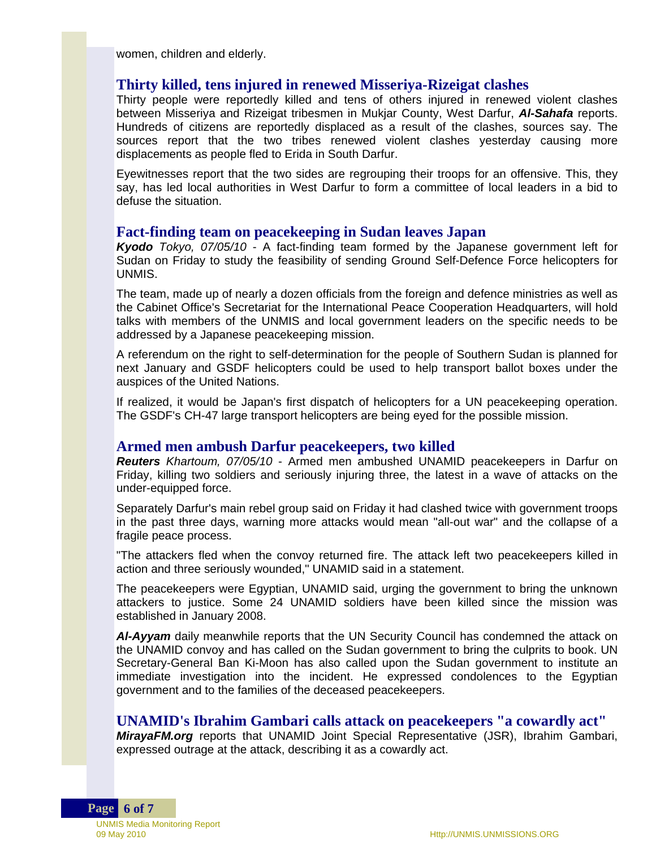women, children and elderly.

#### **Thirty killed, tens injured in renewed Misseriya-Rizeigat clashes**

Thirty people were reportedly killed and tens of others injured in renewed violent clashes between Misseriya and Rizeigat tribesmen in Mukjar County, West Darfur, *Al-Sahafa* reports. Hundreds of citizens are reportedly displaced as a result of the clashes, sources say. The sources report that the two tribes renewed violent clashes yesterday causing more displacements as people fled to Erida in South Darfur.

Eyewitnesses report that the two sides are regrouping their troops for an offensive. This, they say, has led local authorities in West Darfur to form a committee of local leaders in a bid to defuse the situation.

#### **Fact-finding team on peacekeeping in Sudan leaves Japan**

*Kyodo Tokyo, 07/05/10* - A fact-finding team formed by the Japanese government left for Sudan on Friday to study the feasibility of sending Ground Self-Defence Force helicopters for UNMIS.

The team, made up of nearly a dozen officials from the foreign and defence ministries as well as the Cabinet Office's Secretariat for the International Peace Cooperation Headquarters, will hold talks with members of the UNMIS and local government leaders on the specific needs to be addressed by a Japanese peacekeeping mission.

A referendum on the right to self-determination for the people of Southern Sudan is planned for next January and GSDF helicopters could be used to help transport ballot boxes under the auspices of the United Nations.

If realized, it would be Japan's first dispatch of helicopters for a UN peacekeeping operation. The GSDF's CH-47 large transport helicopters are being eyed for the possible mission.

#### **Armed men ambush Darfur peacekeepers, two killed**

*Reuters Khartoum, 07/05/10* - Armed men ambushed UNAMID peacekeepers in Darfur on Friday, killing two soldiers and seriously injuring three, the latest in a wave of attacks on the under-equipped force.

Separately Darfur's main rebel group said on Friday it had clashed twice with government troops in the past three days, warning more attacks would mean "all-out war" and the collapse of a fragile peace process.

"The attackers fled when the convoy returned fire. The attack left two peacekeepers killed in action and three seriously wounded," UNAMID said in a statement.

The peacekeepers were Egyptian, UNAMID said, urging the government to bring the unknown attackers to justice. Some 24 UNAMID soldiers have been killed since the mission was established in January 2008.

AI-Ayyam daily meanwhile reports that the UN Security Council has condemned the attack on the UNAMID convoy and has called on the Sudan government to bring the culprits to book. UN Secretary-General Ban Ki-Moon has also called upon the Sudan government to institute an immediate investigation into the incident. He expressed condolences to the Egyptian government and to the families of the deceased peacekeepers.

#### **UNAMID's Ibrahim Gambari calls attack on peacekeepers "a cowardly act"**

*MirayaFM.org* reports that UNAMID Joint Special Representative (JSR), Ibrahim Gambari, expressed outrage at the attack, describing it as a cowardly act.